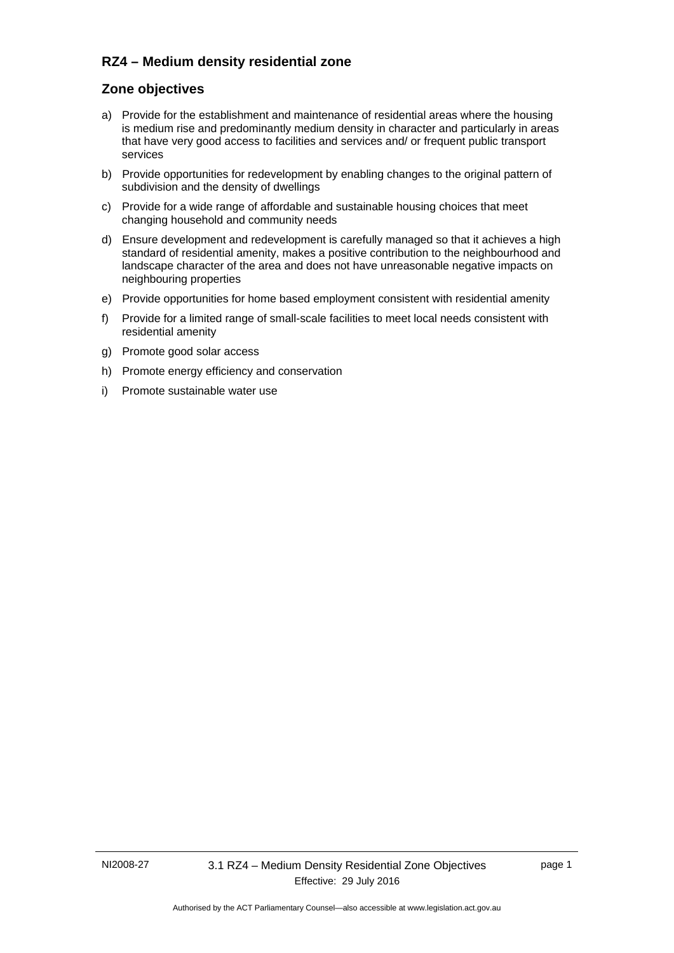## **RZ4 – Medium density residential zone**

## **Zone objectives**

- a) Provide for the establishment and maintenance of residential areas where the housing is medium rise and predominantly medium density in character and particularly in areas that have very good access to facilities and services and/ or frequent public transport services
- b) Provide opportunities for redevelopment by enabling changes to the original pattern of subdivision and the density of dwellings
- c) Provide for a wide range of affordable and sustainable housing choices that meet changing household and community needs
- d) Ensure development and redevelopment is carefully managed so that it achieves a high standard of residential amenity, makes a positive contribution to the neighbourhood and landscape character of the area and does not have unreasonable negative impacts on neighbouring properties
- e) Provide opportunities for home based employment consistent with residential amenity
- f) Provide for a limited range of small-scale facilities to meet local needs consistent with residential amenity
- g) Promote good solar access
- h) Promote energy efficiency and conservation
- i) Promote sustainable water use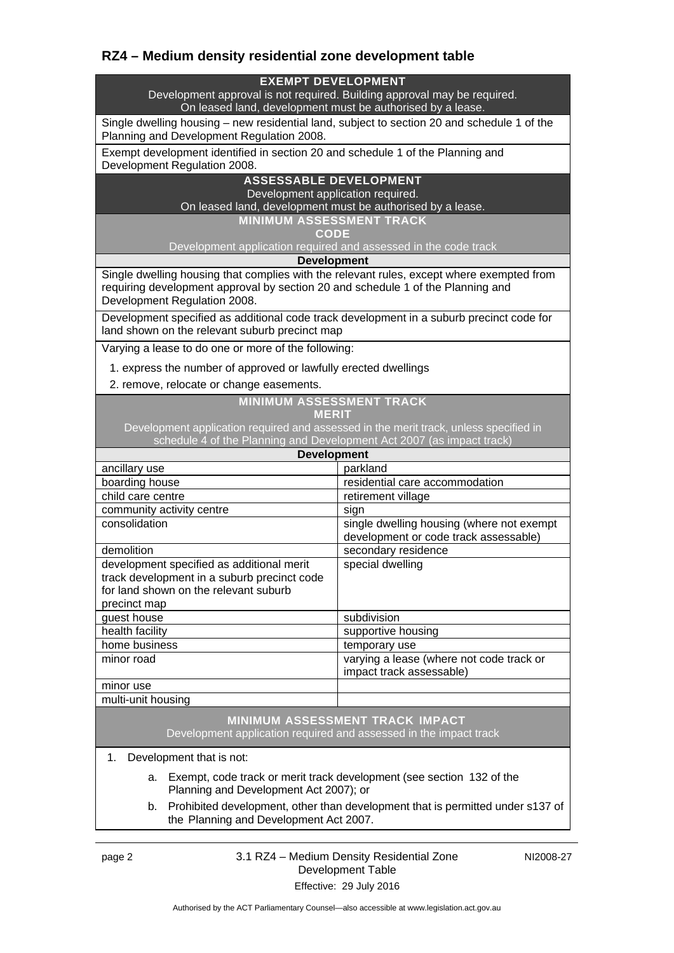# **RZ4 – Medium density residential zone development table**

### **EXEMPT DEVELOPMENT**

Development approval is not required. Building approval may be required. On leased land, development must be authorised by a lease.

Single dwelling housing – new residential land, subject to section 20 and schedule 1 of the Planning and Development Regulation 2008.

Exempt development identified in section 20 and schedule 1 of the Planning and Development Regulation 2008.

## **ASSESSABLE DEVELOPMENT**

Development application required.

On leased land, development must be authorised by a lease.

**MINIMUM ASSESSMENT TRACK** 

**CODE** 

Development application required and assessed in the code track

**Development**

Single dwelling housing that complies with the relevant rules, except where exempted from requiring development approval by section 20 and schedule 1 of the Planning and Development Regulation 2008.

Development specified as additional code track development in a suburb precinct code for land shown on the relevant suburb precinct map

Varying a lease to do one or more of the following:

1. express the number of approved or lawfully erected dwellings

2. remove, relocate or change easements.

## **MINIMUM ASSESSMENT TRACK**

### **MERIT**

Development application required and assessed in the merit track, unless specified in schedule 4 of the Planning and Development Act 2007 (as impact track)

| <b>Development</b>                                                                                                                                |                                                                                    |
|---------------------------------------------------------------------------------------------------------------------------------------------------|------------------------------------------------------------------------------------|
| ancillary use                                                                                                                                     | parkland                                                                           |
| boarding house                                                                                                                                    | residential care accommodation                                                     |
| child care centre                                                                                                                                 | retirement village                                                                 |
| community activity centre                                                                                                                         | sign                                                                               |
| consolidation                                                                                                                                     | single dwelling housing (where not exempt<br>development or code track assessable) |
| demolition                                                                                                                                        | secondary residence                                                                |
| development specified as additional merit<br>track development in a suburb precinct code<br>for land shown on the relevant suburb<br>precinct map | special dwelling                                                                   |
| guest house                                                                                                                                       | subdivision                                                                        |
| health facility                                                                                                                                   | supportive housing                                                                 |
| home business                                                                                                                                     | temporary use                                                                      |
| minor road                                                                                                                                        | varying a lease (where not code track or<br>impact track assessable)               |
| minor use                                                                                                                                         |                                                                                    |
| multi-unit housing                                                                                                                                |                                                                                    |
|                                                                                                                                                   |                                                                                    |

#### **MINIMUM ASSESSMENT TRACK IMPACT** Development application required and assessed in the impact track

1. Development that is not:

- a. Exempt, code track or merit track development (see section 132 of the Planning and Development Act 2007); or
- b. Prohibited development, other than development that is permitted under s137 of the Planning and Development Act 2007.

page 2 3.1 RZ4 – Medium Density Residential Zone Development Table Effective: 29 July 2016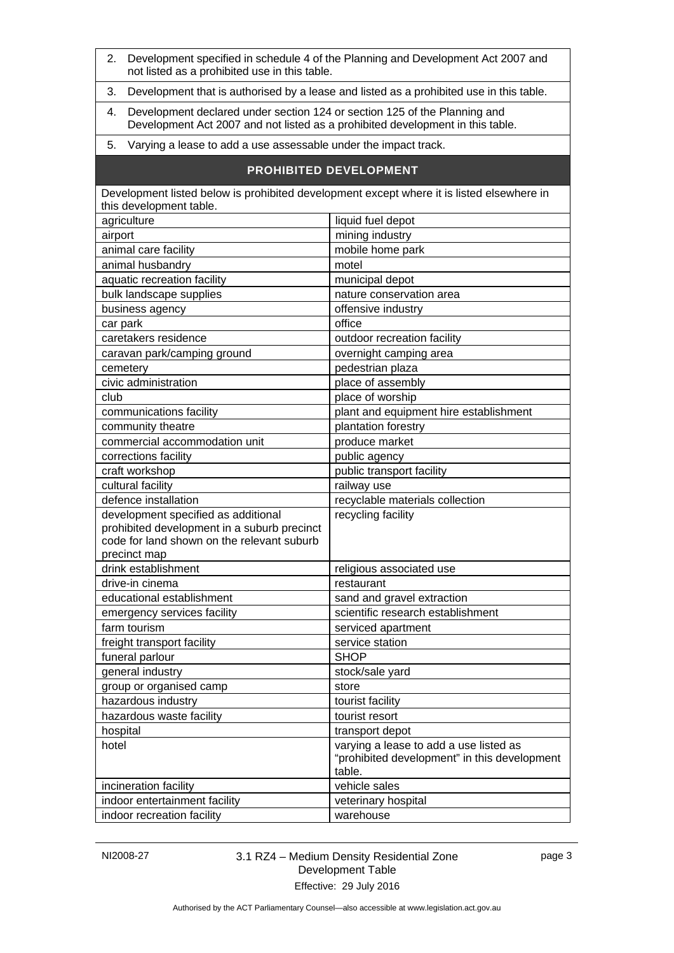| Development specified in schedule 4 of the Planning and Development Act 2007 and<br>2.<br>not listed as a prohibited use in this table.                           |                                                                                                  |  |
|-------------------------------------------------------------------------------------------------------------------------------------------------------------------|--------------------------------------------------------------------------------------------------|--|
| Development that is authorised by a lease and listed as a prohibited use in this table.<br>3.                                                                     |                                                                                                  |  |
| Development declared under section 124 or section 125 of the Planning and<br>4.<br>Development Act 2007 and not listed as a prohibited development in this table. |                                                                                                  |  |
| Varying a lease to add a use assessable under the impact track.<br>5.                                                                                             |                                                                                                  |  |
| <b>PROHIBITED DEVELOPMENT</b>                                                                                                                                     |                                                                                                  |  |
| Development listed below is prohibited development except where it is listed elsewhere in<br>this development table.                                              |                                                                                                  |  |
| agriculture                                                                                                                                                       | liquid fuel depot                                                                                |  |
| airport                                                                                                                                                           | mining industry                                                                                  |  |
| animal care facility                                                                                                                                              | mobile home park                                                                                 |  |
| animal husbandry                                                                                                                                                  | motel                                                                                            |  |
| aquatic recreation facility                                                                                                                                       | municipal depot                                                                                  |  |
| bulk landscape supplies                                                                                                                                           | nature conservation area                                                                         |  |
| business agency                                                                                                                                                   | offensive industry                                                                               |  |
| car park                                                                                                                                                          | office                                                                                           |  |
| caretakers residence                                                                                                                                              | outdoor recreation facility                                                                      |  |
| caravan park/camping ground                                                                                                                                       | overnight camping area                                                                           |  |
| cemetery                                                                                                                                                          | pedestrian plaza                                                                                 |  |
| civic administration                                                                                                                                              | place of assembly                                                                                |  |
| club                                                                                                                                                              | place of worship                                                                                 |  |
| communications facility                                                                                                                                           | plant and equipment hire establishment                                                           |  |
| community theatre                                                                                                                                                 | plantation forestry                                                                              |  |
| commercial accommodation unit                                                                                                                                     | produce market                                                                                   |  |
| corrections facility                                                                                                                                              | public agency                                                                                    |  |
| craft workshop                                                                                                                                                    | public transport facility                                                                        |  |
| cultural facility                                                                                                                                                 | railway use                                                                                      |  |
| defence installation                                                                                                                                              | recyclable materials collection                                                                  |  |
| development specified as additional<br>prohibited development in a suburb precinct<br>code for land shown on the relevant suburb<br>precinct map                  | recycling facility                                                                               |  |
| drink establishment                                                                                                                                               | religious associated use                                                                         |  |
| drive-in cinema                                                                                                                                                   | restaurant                                                                                       |  |
| educational establishment                                                                                                                                         | sand and gravel extraction                                                                       |  |
| emergency services facility                                                                                                                                       | scientific research establishment                                                                |  |
| farm tourism                                                                                                                                                      | serviced apartment                                                                               |  |
| freight transport facility                                                                                                                                        | service station                                                                                  |  |
| funeral parlour                                                                                                                                                   | <b>SHOP</b>                                                                                      |  |
| general industry                                                                                                                                                  | stock/sale yard                                                                                  |  |
| group or organised camp                                                                                                                                           | store                                                                                            |  |
| hazardous industry                                                                                                                                                | tourist facility                                                                                 |  |
| hazardous waste facility                                                                                                                                          | tourist resort                                                                                   |  |
| hospital                                                                                                                                                          | transport depot                                                                                  |  |
| hotel                                                                                                                                                             | varying a lease to add a use listed as<br>"prohibited development" in this development<br>table. |  |
| incineration facility                                                                                                                                             | vehicle sales                                                                                    |  |
| indoor entertainment facility                                                                                                                                     | veterinary hospital                                                                              |  |
| indoor recreation facility                                                                                                                                        | warehouse                                                                                        |  |